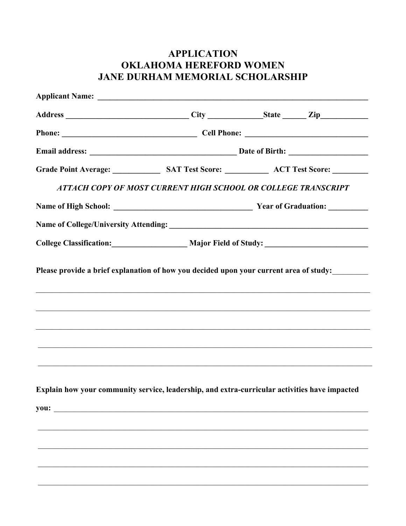## **APPLICATION OKLAHOMA HEREFORD WOMEN** JANE DURHAM MEMORIAL SCHOLARSHIP

| Phone: Cell Phone: Cell Phone: 2008. Cell Phone: 2008. 2012. 2013. 2014. 2015. 2016. 2017. 2018. 2019. 2017. 2018. 2019. 2017. 2018. 2019. 2017. 2018. 2019. 2017. 2018. 2019. 2017. 2018. 2019. 2017. 2018. 2019. 2019. 2019. |                                                    |  |  |
|--------------------------------------------------------------------------------------------------------------------------------------------------------------------------------------------------------------------------------|----------------------------------------------------|--|--|
|                                                                                                                                                                                                                                |                                                    |  |  |
|                                                                                                                                                                                                                                |                                                    |  |  |
| ATTACH COPY OF MOST CURRENT HIGH SCHOOL OR COLLEGE TRANSCRIPT                                                                                                                                                                  |                                                    |  |  |
|                                                                                                                                                                                                                                |                                                    |  |  |
|                                                                                                                                                                                                                                |                                                    |  |  |
|                                                                                                                                                                                                                                | College Classification: Major Field of Study: 1992 |  |  |
| ,我们也不能在这里的人,我们也不能在这里的人,我们也不能在这里的人,我们也不能在这里的人,我们也不能在这里的人,我们也不能在这里的人,我们也不能在这里的人,我们也<br><u> 1999 - Johann John Stoff, der stadt for de stadt for de stadt for de stadt for de stadt for de stadt for de</u>                       |                                                    |  |  |
| Explain how your community service, leadership, and extra-curricular activities have impacted                                                                                                                                  |                                                    |  |  |
|                                                                                                                                                                                                                                |                                                    |  |  |